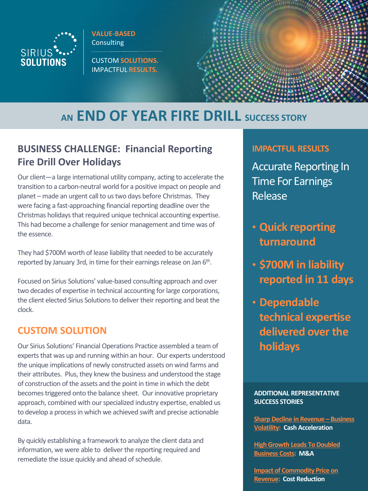

**VALUE-BASED Consulting** 

CUSTOM **SOLUTIONS.** IMPACTFUL **RESULTS.**



# **AN END OF YEAR FIRE DRILL SUCCESS STORY**

# **BUSINESS CHALLENGE: Financial Reporting Fire Drill Over Holidays**

Our client—a large international utility company, acting to accelerate the transition to a carbon-neutral world for a positive impact on people and planet – made an urgent call to us two days before Christmas. They were facing a fast-approaching financial reporting deadline over the Christmas holidays that required unique technical accounting expertise. This had become a challenge for senior management and time was of the essence.

They had \$700M worth of lease liability that needed to be accurately reported by January 3rd, in time for their earnings release on Jan 6<sup>th</sup>.

Focused on Sirius Solutions' value-based consulting approach and over two decades of expertise in technical accounting for large corporations, the client elected Sirius Solutions to deliver their reporting and beat the clock.

## **CUSTOM SOLUTION**

Our Sirius Solutions' Financial Operations Practice assembled a team of experts that was up and running within an hour. Our experts understood the unique implications of newly constructed assets on wind farms and their attributes. Plus, they knew the business and understood the stage of construction of the assets and the point in time in which the debt becomes triggered onto the balance sheet. Our innovative proprietary approach, combined with our specialized industry expertise, enabled us to develop a process in which we achieved swift and precise actionable data.

By quickly establishing a framework to analyze the client data and information, we were able to deliver the reporting required and remediate the issue quickly and ahead of schedule.

#### **IMPACTFUL RESULTS**

Accurate Reporting In Time For Earnings Release

- **Quick reporting turnaround**
- **\$700M in liability reported in 11 days**
- **Dependable technical expertise delivered over the holidays**

**ADDITIONAL REPRESENTATIVE SUCCESS STORIES**

**[Sharp Decline in Revenue](https://www.sirsol.com/wp-content/uploads/2020/11/Cash-Optimization-DSO-Playbook.pdf) – Business Volatility: Cash Acceleration**

**[High Growth Leads To Doubled](https://www.sirsol.com/wp-content/uploads/2020/11/MA-Scale-and-Integration.pdf)  Business Costs: M&A**

**[Impact of Commodity Price on](https://www.sirsol.com/wp-content/uploads/2020/11/Cost-Reduction.pdf)  Revenue: Cost Reduction**